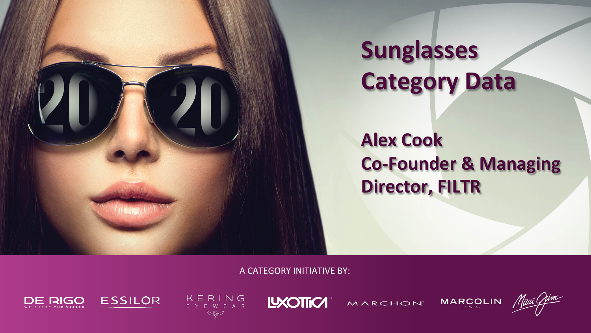

# **Sunglasses Category Data**

#### **Alex Cook Co-Founder & Managing Director, FILTR**

**A CATEGORY INITIATIVE BY:** 









**MARCHON** 

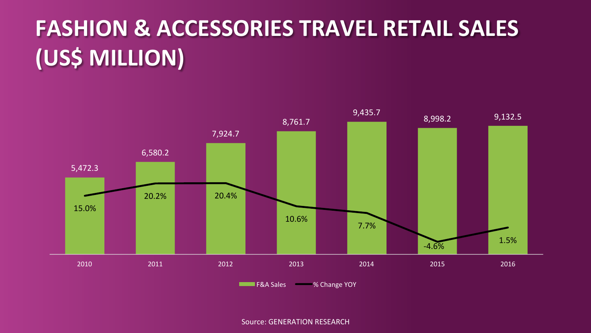## **FASHION & ACCESSORIES TRAVEL RETAIL SALES (US\$ MILLION)**



**F&A** Sales **6 manufally** % Change YOY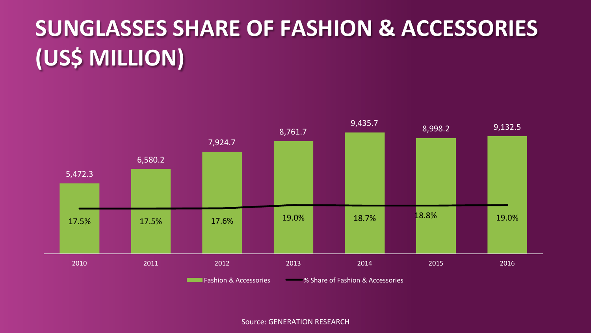## **SUNGLASSES SHARE OF FASHION & ACCESSORIES (US\$ MILLION)**

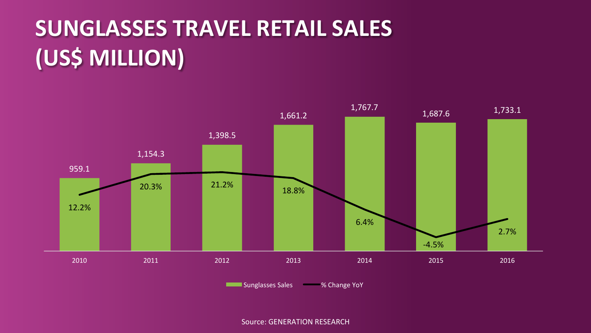## **SUNGLASSES TRAVEL RETAIL SALES (US\$ MILLION)**



Sunglasses Sales % Change YoY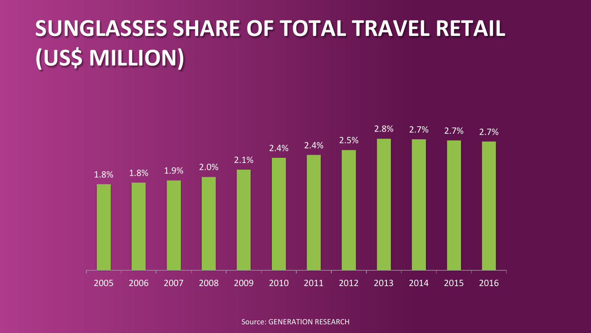## **SUNGLASSES SHARE OF TOTAL TRAVEL RETAIL (US\$ MILLION)**

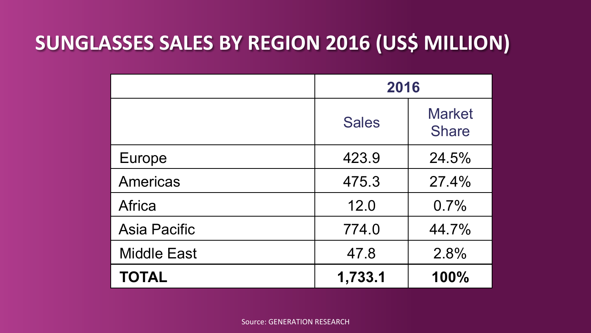#### **SUNGLASSES SALES BY REGION 2016 (US\$ MILLION)**

|                     | 2016         |                               |
|---------------------|--------------|-------------------------------|
|                     | <b>Sales</b> | <b>Market</b><br><b>Share</b> |
| Europe              | 423.9        | 24.5%                         |
| Americas            | 475.3        | 27.4%                         |
| Africa              | 12.0         | 0.7%                          |
| <b>Asia Pacific</b> | 774.0        | 44.7%                         |
| <b>Middle East</b>  | 47.8         | 2.8%                          |
| <b>TOTAL</b>        | 1,733.1      | 100%                          |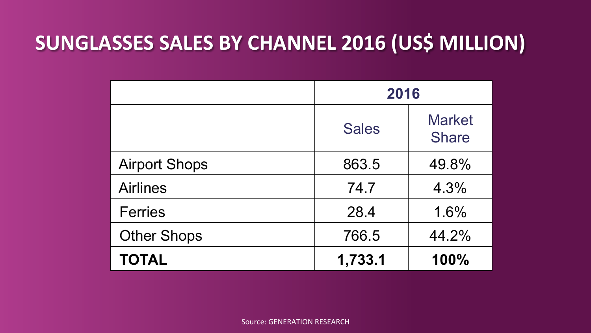#### **SUNGLASSES SALES BY CHANNEL 2016 (US\$ MILLION)**

|                      | 2016         |                               |
|----------------------|--------------|-------------------------------|
|                      | <b>Sales</b> | <b>Market</b><br><b>Share</b> |
| <b>Airport Shops</b> | 863.5        | 49.8%                         |
| <b>Airlines</b>      | 74.7         | 4.3%                          |
| <b>Ferries</b>       | 28.4         | 1.6%                          |
| <b>Other Shops</b>   | 766.5        | 44.2%                         |
| <b>TOTAL</b>         | 1,733.1      | 100%                          |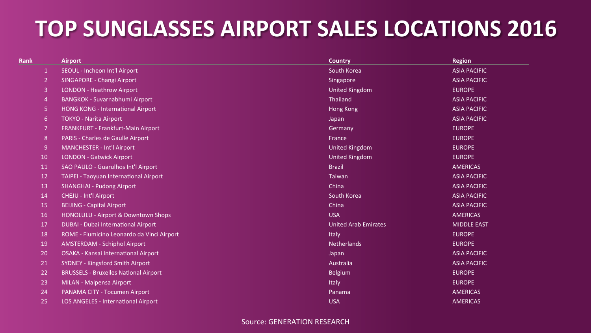### **TOP SUNGLASSES AIRPORT SALES LOCATIONS 2016**

| <b>Rank</b>    | <b>Airport</b>                               | Country                     | <b>Region</b>       |
|----------------|----------------------------------------------|-----------------------------|---------------------|
| $\mathbf{1}$   | SEOUL - Incheon Int'l Airport                | South Korea                 | <b>ASIA PACIFIC</b> |
| $\overline{2}$ | SINGAPORE - Changi Airport                   | Singapore                   | <b>ASIA PACIFIC</b> |
| 3              | <b>LONDON - Heathrow Airport</b>             | <b>United Kingdom</b>       | <b>EUROPE</b>       |
| $\overline{4}$ | <b>BANGKOK - Suvarnabhumi Airport</b>        | <b>Thailand</b>             | <b>ASIA PACIFIC</b> |
| -5             | <b>HONG KONG - International Airport</b>     | Hong Kong                   | <b>ASIA PACIFIC</b> |
| 6              | <b>TOKYO - Narita Airport</b>                | Japan                       | <b>ASIA PACIFIC</b> |
| 7              | FRANKFURT - Frankfurt-Main Airport           | Germany                     | <b>EUROPE</b>       |
| 8              | <b>PARIS - Charles de Gaulle Airport</b>     | France                      | <b>EUROPE</b>       |
| 9              | <b>MANCHESTER - Int'l Airport</b>            | <b>United Kingdom</b>       | <b>EUROPE</b>       |
| 10             | <b>LONDON - Gatwick Airport</b>              | <b>United Kingdom</b>       | <b>EUROPE</b>       |
| 11             | SAO PAULO - Guarulhos Int'l Airport          | <b>Brazil</b>               | <b>AMERICAS</b>     |
| 12             | TAIPEI - Taoyuan International Airport       | Taiwan                      | <b>ASIA PACIFIC</b> |
| 13             | <b>SHANGHAI - Pudong Airport</b>             | China                       | <b>ASIA PACIFIC</b> |
| 14             | <b>CHEJU - Int'l Airport</b>                 | South Korea                 | <b>ASIA PACIFIC</b> |
| 15             | <b>BEIJING - Capital Airport</b>             | China                       | <b>ASIA PACIFIC</b> |
| 16             | HONOLULU - Airport & Downtown Shops          | <b>USA</b>                  | <b>AMERICAS</b>     |
| 17             | <b>DUBAI - Dubai International Airport</b>   | <b>United Arab Emirates</b> | <b>MIDDLE EAST</b>  |
| 18             | ROME - Fiumicino Leonardo da Vinci Airport   | Italy                       | <b>EUROPE</b>       |
| 19             | <b>AMSTERDAM - Schiphol Airport</b>          | <b>Netherlands</b>          | <b>EUROPE</b>       |
| 20             | OSAKA - Kansai International Airport         | Japan                       | <b>ASIA PACIFIC</b> |
| 21             | <b>SYDNEY - Kingsford Smith Airport</b>      | Australia                   | <b>ASIA PACIFIC</b> |
| 22             | <b>BRUSSELS - Bruxelles National Airport</b> | Belgium                     | <b>EUROPE</b>       |
| 23             | MILAN - Malpensa Airport                     | Italy                       | <b>EUROPE</b>       |
| 24             | PANAMA CITY - Tocumen Airport                | Panama                      | <b>AMERICAS</b>     |
| 25             | <b>LOS ANGELES - International Airport</b>   | <b>USA</b>                  | <b>AMERICAS</b>     |